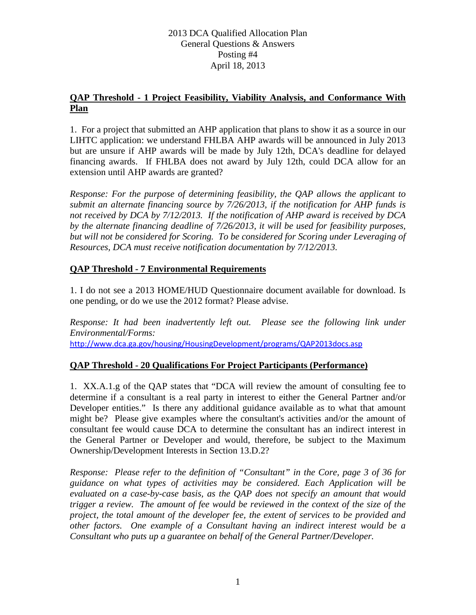## 2013 DCA Qualified Allocation Plan General Questions & Answers Posting #4 April 18, 2013

## **QAP Threshold - 1 Project Feasibility, Viability Analysis, and Conformance With Plan**

1. For a project that submitted an AHP application that plans to show it as a source in our LIHTC application: we understand FHLBA AHP awards will be announced in July 2013 but are unsure if AHP awards will be made by July 12th, DCA's deadline for delayed financing awards. If FHLBA does not award by July 12th, could DCA allow for an extension until AHP awards are granted?

*Response: For the purpose of determining feasibility, the QAP allows the applicant to submit an alternate financing source by 7/26/2013, if the notification for AHP funds is not received by DCA by 7/12/2013. If the notification of AHP award is received by DCA by the alternate financing deadline of 7/26/2013, it will be used for feasibility purposes, but will not be considered for Scoring. To be considered for Scoring under Leveraging of Resources, DCA must receive notification documentation by 7/12/2013.*

# **QAP Threshold - 7 Environmental Requirements**

1. I do not see a 2013 HOME/HUD Questionnaire document available for download. Is one pending, or do we use the 2012 format? Please advise.

*Response: It had been inadvertently left out. Please see the following link under Environmental/Forms:* <http://www.dca.ga.gov/housing/HousingDevelopment/programs/QAP2013docs.asp>

## **QAP Threshold - 20 Qualifications For Project Participants (Performance)**

1. XX.A.1.g of the QAP states that "DCA will review the amount of consulting fee to determine if a consultant is a real party in interest to either the General Partner and/or Developer entities." Is there any additional guidance available as to what that amount might be? Please give examples where the consultant's activities and/or the amount of consultant fee would cause DCA to determine the consultant has an indirect interest in the General Partner or Developer and would, therefore, be subject to the Maximum Ownership/Development Interests in Section 13.D.2?

*Response: Please refer to the definition of "Consultant" in the Core, page 3 of 36 for guidance on what types of activities may be considered. Each Application will be evaluated on a case-by-case basis, as the QAP does not specify an amount that would trigger a review. The amount of fee would be reviewed in the context of the size of the project, the total amount of the developer fee, the extent of services to be provided and other factors. One example of a Consultant having an indirect interest would be a Consultant who puts up a guarantee on behalf of the General Partner/Developer.*